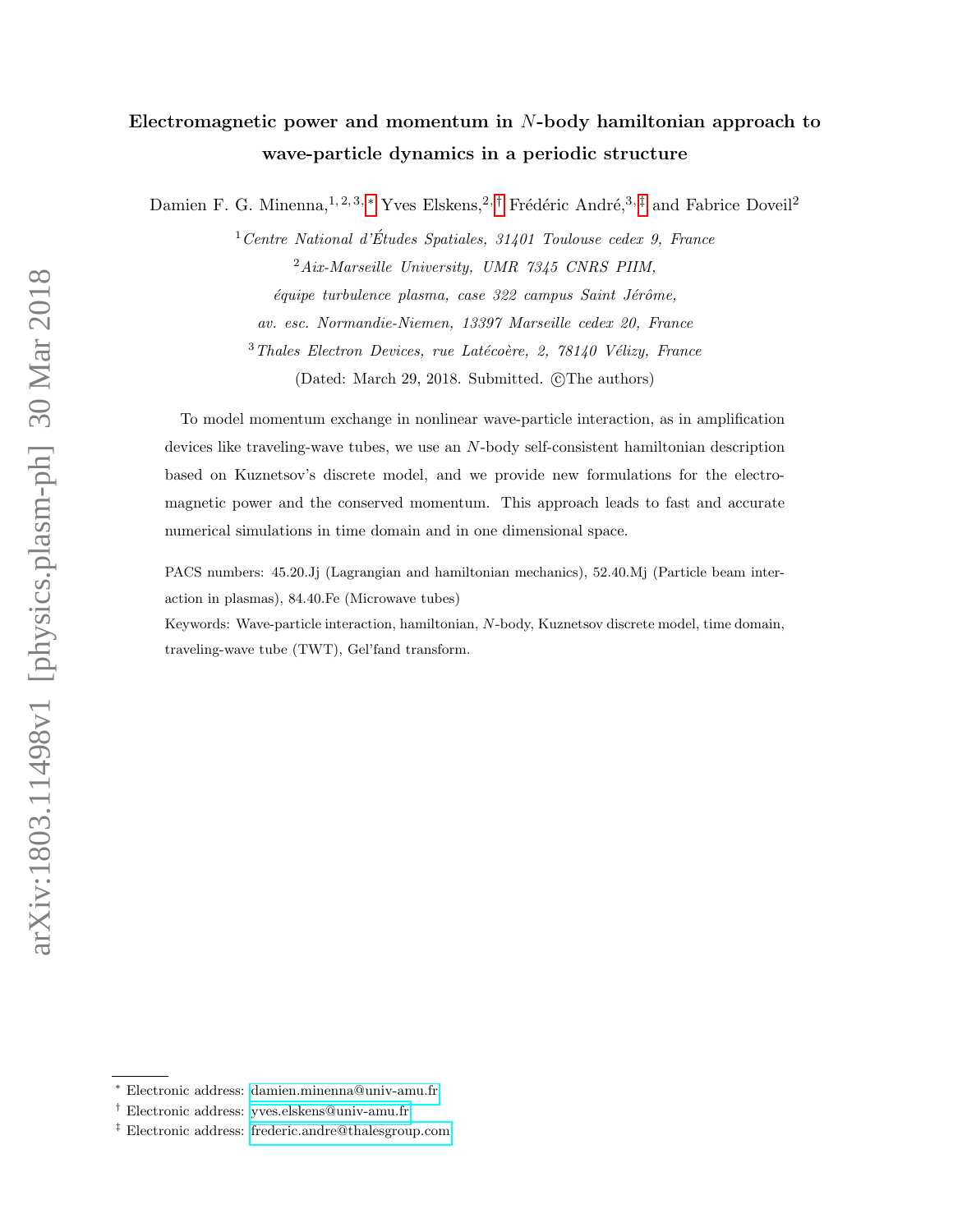## Electromagnetic power and momentum in N-body hamiltonian approach to wave-particle dynamics in a periodic structure

Damien F. G. Minenna,<sup>1, 2, 3,</sup> \* Yves Elskens,<sup>2,[†](#page-0-1)</sup> Frédéric André,<sup>3,[‡](#page-0-2)</sup> and Fabrice Doveil<sup>2</sup>

 $1$  Centre National d'Études Spatiales, 31401 Toulouse cedex 9, France  $2Aix-Marseille$  University, UMR 7345 CNRS PIIM,  $équire$  turbulence plasma, case  $322$  campus Saint Jérôme, av. esc. Normandie-Niemen, 13397 Marseille cedex 20, France  $3$ Thales Electron Devices, rue Latécoère, 2, 78140 Vélizy, France (Dated: March 29, 2018. Submitted. ©The authors)

To model momentum exchange in nonlinear wave-particle interaction, as in amplification devices like traveling-wave tubes, we use an N-body self-consistent hamiltonian description based on Kuznetsov's discrete model, and we provide new formulations for the electromagnetic power and the conserved momentum. This approach leads to fast and accurate numerical simulations in time domain and in one dimensional space.

PACS numbers: 45.20.Jj (Lagrangian and hamiltonian mechanics), 52.40.Mj (Particle beam interaction in plasmas), 84.40.Fe (Microwave tubes)

Keywords: Wave-particle interaction, hamiltonian, N-body, Kuznetsov discrete model, time domain, traveling-wave tube (TWT), Gel'fand transform.

<span id="page-0-1"></span><span id="page-0-0"></span><sup>∗</sup> Electronic address: [damien.minenna@univ-amu.fr](mailto:damien.minenna@univ-amu.fr)

<span id="page-0-2"></span><sup>†</sup> Electronic address: [yves.elskens@univ-amu.fr](mailto:yves.elskens@univ-amu.fr)

<sup>‡</sup> Electronic address: [frederic.andre@thalesgroup.com](mailto:frederic.andre@thalesgroup.com)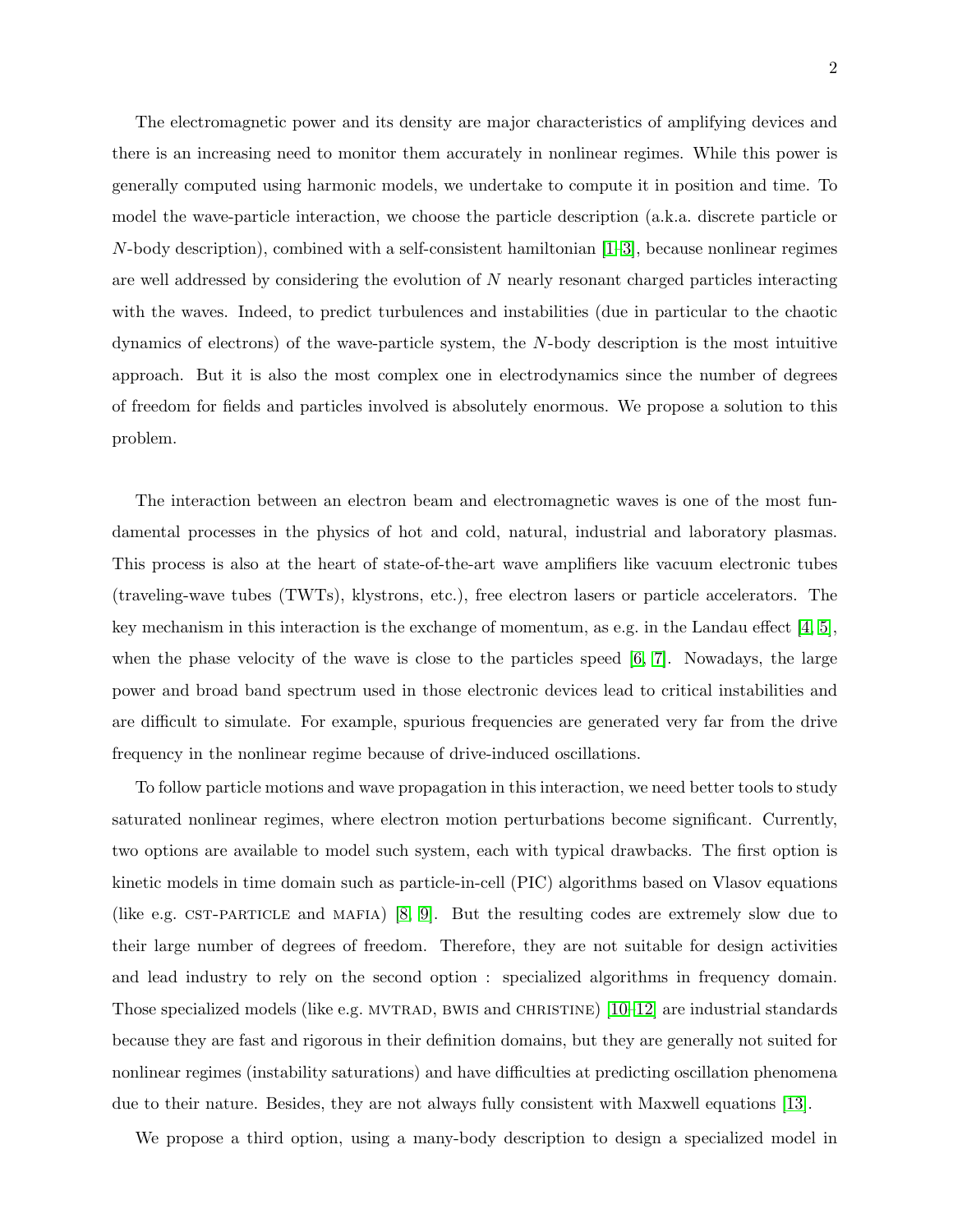The electromagnetic power and its density are major characteristics of amplifying devices and there is an increasing need to monitor them accurately in nonlinear regimes. While this power is generally computed using harmonic models, we undertake to compute it in position and time. To model the wave-particle interaction, we choose the particle description (a.k.a. discrete particle or  $N$ -body description), combined with a self-consistent hamiltonian  $[1-3]$  $[1-3]$ , because nonlinear regimes are well addressed by considering the evolution of  $N$  nearly resonant charged particles interacting with the waves. Indeed, to predict turbulences and instabilities (due in particular to the chaotic dynamics of electrons) of the wave-particle system, the N-body description is the most intuitive approach. But it is also the most complex one in electrodynamics since the number of degrees of freedom for fields and particles involved is absolutely enormous. We propose a solution to this problem.

The interaction between an electron beam and electromagnetic waves is one of the most fundamental processes in the physics of hot and cold, natural, industrial and laboratory plasmas. This process is also at the heart of state-of-the-art wave amplifiers like vacuum electronic tubes (traveling-wave tubes (TWTs), klystrons, etc.), free electron lasers or particle accelerators. The key mechanism in this interaction is the exchange of momentum, as e.g. in the Landau effect  $[4, 5]$  $[4, 5]$ , when the phase velocity of the wave is close to the particles speed  $[6, 7]$  $[6, 7]$ . Nowadays, the large power and broad band spectrum used in those electronic devices lead to critical instabilities and are difficult to simulate. For example, spurious frequencies are generated very far from the drive frequency in the nonlinear regime because of drive-induced oscillations.

To follow particle motions and wave propagation in this interaction, we need better tools to study saturated nonlinear regimes, where electron motion perturbations become significant. Currently, two options are available to model such system, each with typical drawbacks. The first option is kinetic models in time domain such as particle-in-cell (PIC) algorithms based on Vlasov equations (like e.g. CST-PARTICLE and MAFIA)  $[8, 9]$  $[8, 9]$ . But the resulting codes are extremely slow due to their large number of degrees of freedom. Therefore, they are not suitable for design activities and lead industry to rely on the second option : specialized algorithms in frequency domain. Those specialized models (like e.g. MVTRAD, BWIS and CHRISTINE)  $[10-12]$  $[10-12]$  are industrial standards because they are fast and rigorous in their definition domains, but they are generally not suited for nonlinear regimes (instability saturations) and have difficulties at predicting oscillation phenomena due to their nature. Besides, they are not always fully consistent with Maxwell equations [\[13\]](#page-11-8).

We propose a third option, using a many-body description to design a specialized model in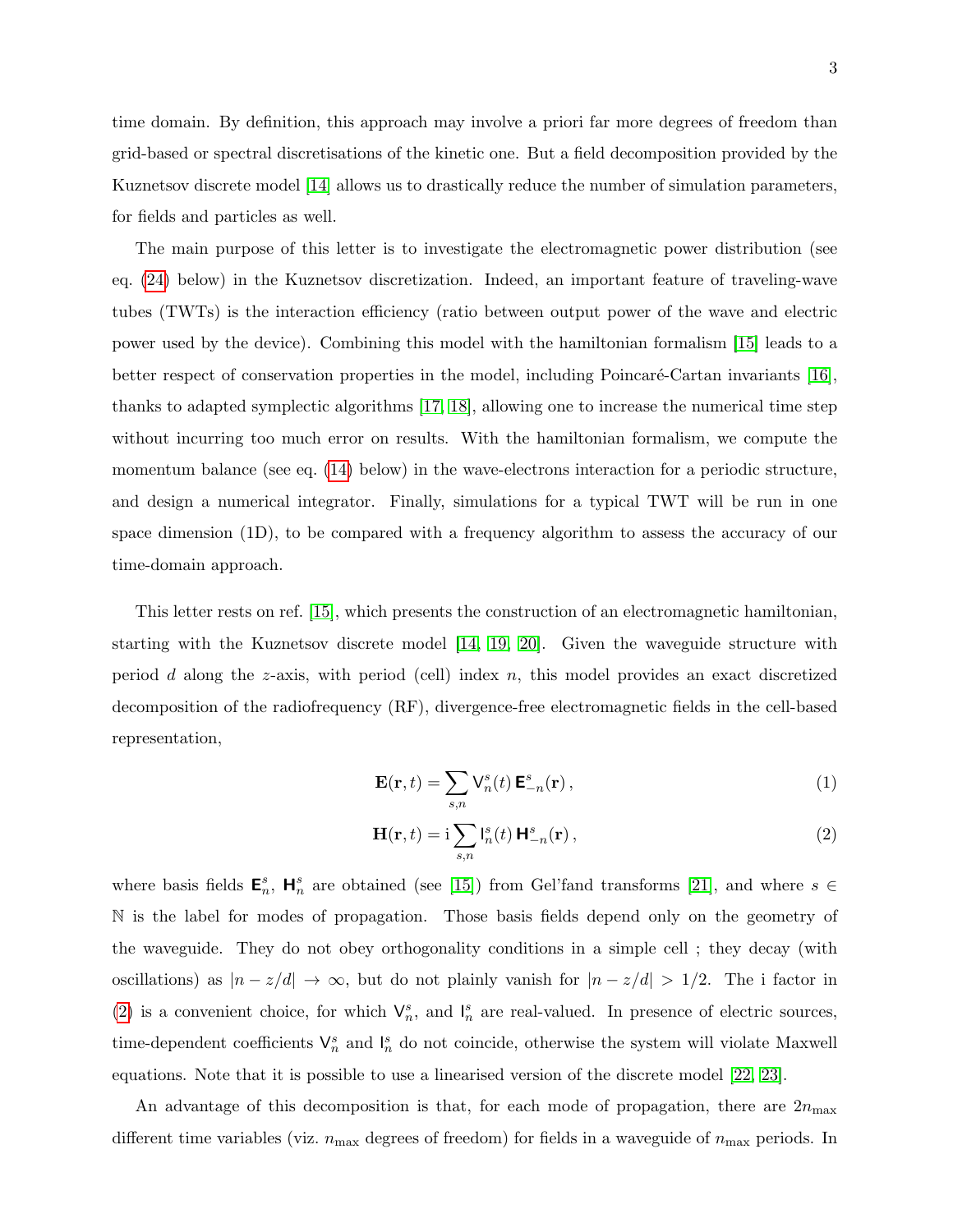time domain. By definition, this approach may involve a priori far more degrees of freedom than grid-based or spectral discretisations of the kinetic one. But a field decomposition provided by the Kuznetsov discrete model [\[14\]](#page-11-9) allows us to drastically reduce the number of simulation parameters, for fields and particles as well.

The main purpose of this letter is to investigate the electromagnetic power distribution (see eq. [\(24\)](#page-7-0) below) in the Kuznetsov discretization. Indeed, an important feature of traveling-wave tubes (TWTs) is the interaction efficiency (ratio between output power of the wave and electric power used by the device). Combining this model with the hamiltonian formalism [\[15\]](#page-11-10) leads to a better respect of conservation properties in the model, including Poincaré-Cartan invariants [\[16\]](#page-11-11), thanks to adapted symplectic algorithms [\[17,](#page-11-12) [18\]](#page-11-13), allowing one to increase the numerical time step without incurring too much error on results. With the hamiltonian formalism, we compute the momentum balance (see eq. [\(14\)](#page-5-0) below) in the wave-electrons interaction for a periodic structure, and design a numerical integrator. Finally, simulations for a typical TWT will be run in one space dimension (1D), to be compared with a frequency algorithm to assess the accuracy of our time-domain approach.

This letter rests on ref. [\[15\]](#page-11-10), which presents the construction of an electromagnetic hamiltonian, starting with the Kuznetsov discrete model [\[14,](#page-11-9) [19,](#page-11-14) [20\]](#page-11-15). Given the waveguide structure with period d along the z-axis, with period (cell) index  $n$ , this model provides an exact discretized decomposition of the radiofrequency (RF), divergence-free electromagnetic fields in the cell-based representation,

<span id="page-2-1"></span>
$$
\mathbf{E}(\mathbf{r},t) = \sum_{s,n} \mathsf{V}_n^s(t) \, \mathbf{E}_{-n}^s(\mathbf{r}) \,, \tag{1}
$$

<span id="page-2-0"></span>
$$
\mathbf{H}(\mathbf{r},t) = \mathbf{i} \sum_{s,n} \mathbf{l}_n^s(t) \, \mathbf{H}_{-n}^s(\mathbf{r}),\tag{2}
$$

where basis fields  $\mathbf{E}_n^s$ ,  $\mathbf{H}_n^s$  are obtained (see [\[15\]](#page-11-10)) from Gel'fand transforms [\[21\]](#page-11-16), and where  $s \in$ N is the label for modes of propagation. Those basis fields depend only on the geometry of the waveguide. They do not obey orthogonality conditions in a simple cell ; they decay (with oscillations) as  $|n - z/d| \to \infty$ , but do not plainly vanish for  $|n - z/d| > 1/2$ . The i factor in [\(2\)](#page-2-0) is a convenient choice, for which  $\mathsf{V}_n^s$ , and  $\mathsf{I}_n^s$  are real-valued. In presence of electric sources, time-dependent coefficients  $\mathsf{V}_n^s$  and  $\mathsf{I}_n^s$  do not coincide, otherwise the system will violate Maxwell equations. Note that it is possible to use a linearised version of the discrete model [\[22,](#page-11-17) [23\]](#page-11-18).

An advantage of this decomposition is that, for each mode of propagation, there are  $2n_{\text{max}}$ different time variables (viz.  $n_{\text{max}}$  degrees of freedom) for fields in a waveguide of  $n_{\text{max}}$  periods. In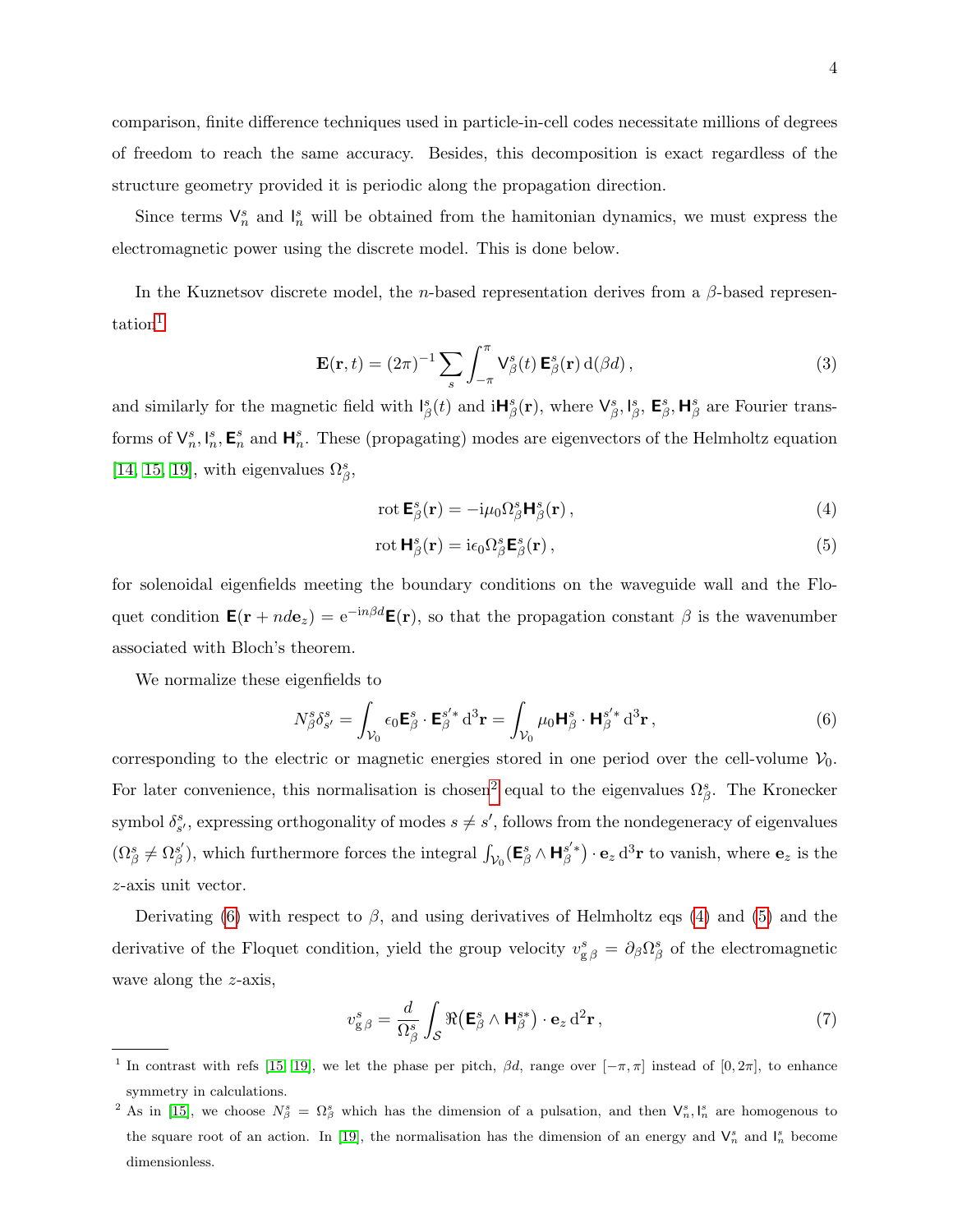comparison, finite difference techniques used in particle-in-cell codes necessitate millions of degrees of freedom to reach the same accuracy. Besides, this decomposition is exact regardless of the structure geometry provided it is periodic along the propagation direction.

Since terms  $\mathsf{V}_n^s$  and  $\mathsf{I}_n^s$  will be obtained from the hamitonian dynamics, we must express the electromagnetic power using the discrete model. This is done below.

In the Kuznetsov discrete model, the *n*-based representation derives from a  $\beta$ -based represen-tation<sup>[1](#page-3-0)</sup>

$$
\mathbf{E}(\mathbf{r},t) = (2\pi)^{-1} \sum_{s} \int_{-\pi}^{\pi} \mathsf{V}^{s}_{\beta}(t) \, \mathbf{E}^{s}_{\beta}(\mathbf{r}) \, \mathrm{d}(\beta d) \,, \tag{3}
$$

and similarly for the magnetic field with  $I_{\beta}^{s}(t)$  and  $iH_{\beta}^{s}(\mathbf{r})$ , where  $\mathsf{V}_{\beta}^{s}, \mathsf{I}_{\beta}^{s}$ ,  $\mathsf{E}_{\beta}^{s}$ ,  $\mathsf{H}_{\beta}^{s}$  are Fourier transforms of  $\mathsf{V}_n^s, \mathsf{I}_n^s$ ,  $\mathsf{E}_n^s$  and  $\mathsf{H}_n^s$ . These (propagating) modes are eigenvectors of the Helmholtz equation [\[14,](#page-11-9) [15,](#page-11-10) [19\]](#page-11-14), with eigenvalues  $\Omega_{\beta}^{s}$ ,

<span id="page-3-4"></span><span id="page-3-3"></span>
$$
\operatorname{rot} \mathbf{E}_{\beta}^{s}(\mathbf{r}) = -i\mu_0 \Omega_{\beta}^{s} \mathbf{H}_{\beta}^{s}(\mathbf{r}), \qquad (4)
$$

$$
\operatorname{rot} \mathbf{H}_{\beta}^{s}(\mathbf{r}) = \mathrm{i} \epsilon_0 \Omega_{\beta}^{s} \mathbf{E}_{\beta}^{s}(\mathbf{r}), \qquad (5)
$$

for solenoidal eigenfields meeting the boundary conditions on the waveguide wall and the Floquet condition  $\mathbf{E}(\mathbf{r} + nd\mathbf{e}_z) = e^{-in\beta d}\mathbf{E}(\mathbf{r})$ , so that the propagation constant  $\beta$  is the wavenumber associated with Bloch's theorem.

We normalize these eigenfields to

<span id="page-3-2"></span>
$$
N_{\beta}^{s} \delta_{s'}^{s} = \int_{\mathcal{V}_0} \epsilon_0 \mathbf{E}_{\beta}^{s} \cdot \mathbf{E}_{\beta}^{s'*} d^3 \mathbf{r} = \int_{\mathcal{V}_0} \mu_0 \mathbf{H}_{\beta}^{s} \cdot \mathbf{H}_{\beta}^{s'*} d^3 \mathbf{r}, \qquad (6)
$$

corresponding to the electric or magnetic energies stored in one period over the cell-volume  $\mathcal{V}_0$ . For later convenience, this normalisation is chosen<sup>[2](#page-3-1)</sup> equal to the eigenvalues  $\Omega_{\beta}^{s}$ . The Kronecker symbol  $\delta_{s'}^s$ , expressing orthogonality of modes  $s \neq s'$ , follows from the nondegeneracy of eigenvalues  $(\Omega_{\beta}^{s} \neq \Omega_{\beta}^{s'}$  $S'_{\beta}$ ), which furthermore forces the integral  $\int_{V_0} (\mathbf{E}_{\beta}^s \wedge \mathbf{H}_{\beta}^{s'*}) \cdot \mathbf{e}_z d^3 \mathbf{r}$  to vanish, where  $\mathbf{e}_z$  is the z-axis unit vector.

Derivating [\(6\)](#page-3-2) with respect to  $\beta$ , and using derivatives of Helmholtz eqs [\(4\)](#page-3-3) and [\(5\)](#page-3-4) and the derivative of the Floquet condition, yield the group velocity  $v_{g\beta}^s = \partial_\beta \Omega_\beta^s$  of the electromagnetic wave along the *z*-axis,

<span id="page-3-5"></span>
$$
v_{g\,\beta}^s = \frac{d}{\Omega_\beta^s} \int_{\mathcal{S}} \Re\left(\mathbf{E}_\beta^s \wedge \mathbf{H}_\beta^{s*}\right) \cdot \mathbf{e}_z \, d^2 \mathbf{r},\tag{7}
$$

<span id="page-3-0"></span><sup>1</sup> In contrast with refs [\[15,](#page-11-10) [19\]](#page-11-14), we let the phase per pitch,  $\beta d$ , range over  $[-\pi, \pi]$  instead of  $[0, 2\pi]$ , to enhance symmetry in calculations.

<span id="page-3-1"></span><sup>&</sup>lt;sup>2</sup> As in [\[15\]](#page-11-10), we choose  $N^s_{\beta} = \Omega^s_{\beta}$  which has the dimension of a pulsation, and then  $V^s_n, I^s_n$  are homogenous to the square root of an action. In [\[19\]](#page-11-14), the normalisation has the dimension of an energy and  $\mathsf{V}_n^s$  and  $\mathsf{I}_n^s$  become dimensionless.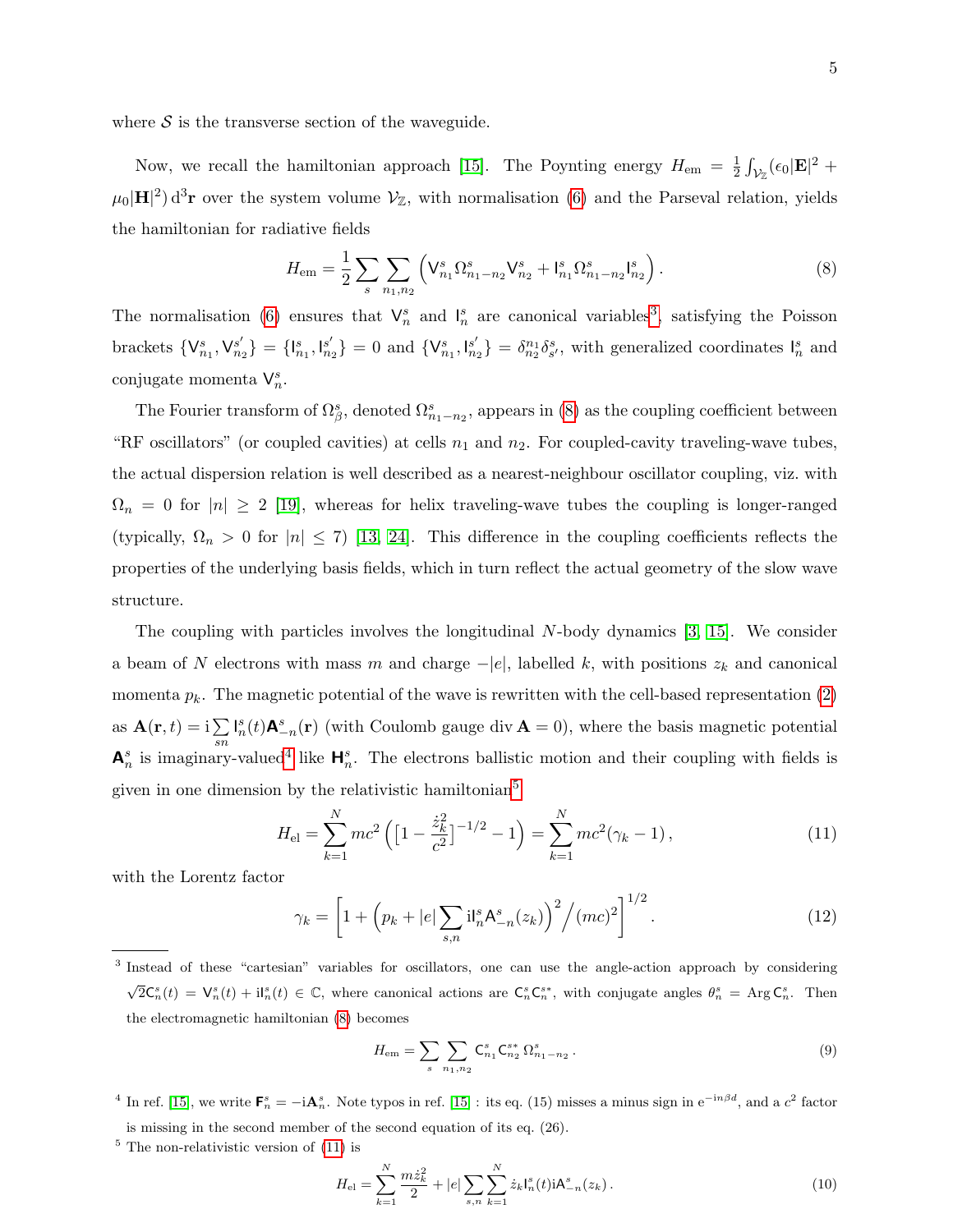where  $\mathcal S$  is the transverse section of the waveguide.

Now, we recall the hamiltonian approach [\[15\]](#page-11-10). The Poynting energy  $H_{\text{em}} = \frac{1}{2}$  $\frac{1}{2} \int_{\mathcal{V}_{\mathbb{Z}}} ( \epsilon_0 | {\bf E} |^2 \; +$  $\mu_0|\mathbf{H}|^2$  d<sup>3</sup>r over the system volume  $\mathcal{V}_\mathbb{Z}$ , with normalisation [\(6\)](#page-3-2) and the Parseval relation, yields the hamiltonian for radiative fields

<span id="page-4-1"></span>
$$
H_{\rm em} = \frac{1}{2} \sum_{s} \sum_{n_1, n_2} \left( V_{n_1}^s \Omega_{n_1 - n_2}^s V_{n_2}^s + I_{n_1}^s \Omega_{n_1 - n_2}^s I_{n_2}^s \right).
$$
 (8)

The normalisation [\(6\)](#page-3-2) ensures that  $\mathsf{V}_n^s$  and  $\mathsf{I}_n^s$  are canonical variables<sup>[3](#page-4-0)</sup>, satisfying the Poisson brackets  $\{V_{n_1}^s, V_{n_2}^{s'}\} = \{I_{n_1}^s, I_{n_2}^{s'}\} = 0$  and  $\{V_{n_1}^s, I_{n_2}^{s'}\} = \delta_{n_2}^{n_1} \delta_{s'}^s$ , with generalized coordinates  $I_n^s$  and conjugate momenta  $V_n^s$ .

The Fourier transform of  $\Omega_{\beta}^s$ , denoted  $\Omega_{n_1-n_2}^s$ , appears in [\(8\)](#page-4-1) as the coupling coefficient between "RF oscillators" (or coupled cavities) at cells  $n_1$  and  $n_2$ . For coupled-cavity traveling-wave tubes, the actual dispersion relation is well described as a nearest-neighbour oscillator coupling, viz. with  $\Omega_n = 0$  for  $|n| \geq 2$  [\[19\]](#page-11-14), whereas for helix traveling-wave tubes the coupling is longer-ranged (typically,  $\Omega_n > 0$  for  $|n| \leq 7$ ) [\[13,](#page-11-8) [24\]](#page-11-19). This difference in the coupling coefficients reflects the properties of the underlying basis fields, which in turn reflect the actual geometry of the slow wave structure.

The coupling with particles involves the longitudinal N-body dynamics [\[3,](#page-10-1) [15\]](#page-11-10). We consider a beam of N electrons with mass m and charge  $-|e|$ , labelled k, with positions  $z_k$  and canonical momenta  $p_k$ . The magnetic potential of the wave is rewritten with the cell-based representation [\(2\)](#page-2-0) as  $\mathbf{A}(\mathbf{r},t) = i\sum$ sn  $\mathbf{I}_n^s(t)\mathbf{A}_{-n}^s(\mathbf{r})$  (with Coulomb gauge div  $\mathbf{A}=0$ ), where the basis magnetic potential  $\mathsf{A}_n^s$  is imaginary-valued<sup>[4](#page-4-2)</sup> like  $\mathsf{H}_n^s$ . The electrons ballistic motion and their coupling with fields is given in one dimension by the relativistic hamiltonian<sup>[5](#page-4-3)</sup>

<span id="page-4-4"></span>
$$
H_{\rm el} = \sum_{k=1}^{N} mc^2 \left( \left[ 1 - \frac{\dot{z}_k^2}{c^2} \right]^{-1/2} - 1 \right) = \sum_{k=1}^{N} mc^2 (\gamma_k - 1), \qquad (11)
$$

with the Lorentz factor

$$
\gamma_k = \left[1 + \left(p_k + |e| \sum_{s,n} \mathbf{i} \mathbf{l}_n^s \mathbf{A}_{-n}^s(z_k)\right)^2 / (mc)^2\right]^{1/2}.
$$
 (12)

<span id="page-4-0"></span><sup>3</sup> Instead of these "cartesian" variables for oscillators, one can use the angle-action approach by considering  $\sqrt{2}C_n^s(t) = V_n^s(t) + iI_n^s(t) \in \mathbb{C}$ , where canonical actions are  $C_n^sC_n^{s*}$ , with conjugate angles  $\theta_n^s = \text{Arg } C_n^s$ . Then the electromagnetic hamiltonian [\(8\)](#page-4-1) becomes

$$
H_{\rm em} = \sum_{s} \sum_{n_1, n_2} \mathsf{C}_{n_1}^s \mathsf{C}_{n_2}^{s*} \Omega_{n_1 - n_2}^s.
$$
 (9)

<span id="page-4-2"></span><sup>4</sup> In ref. [\[15\]](#page-11-10), we write  $\mathbf{F}_n^s = -i\mathbf{A}_n^s$ . Note typos in ref. [15]: its eq. (15) misses a minus sign in  $e^{-in\beta d}$ , and a  $c^2$  factor is missing in the second member of the second equation of its eq. (26).

<span id="page-4-3"></span> $5$  The non-relativistic version of  $(11)$  is

$$
H_{\rm el} = \sum_{k=1}^{N} \frac{m \dot{z}_k^2}{2} + |e| \sum_{s,n} \sum_{k=1}^{N} \dot{z}_k I_n^s(t) iA_{-n}^s(z_k).
$$
 (10)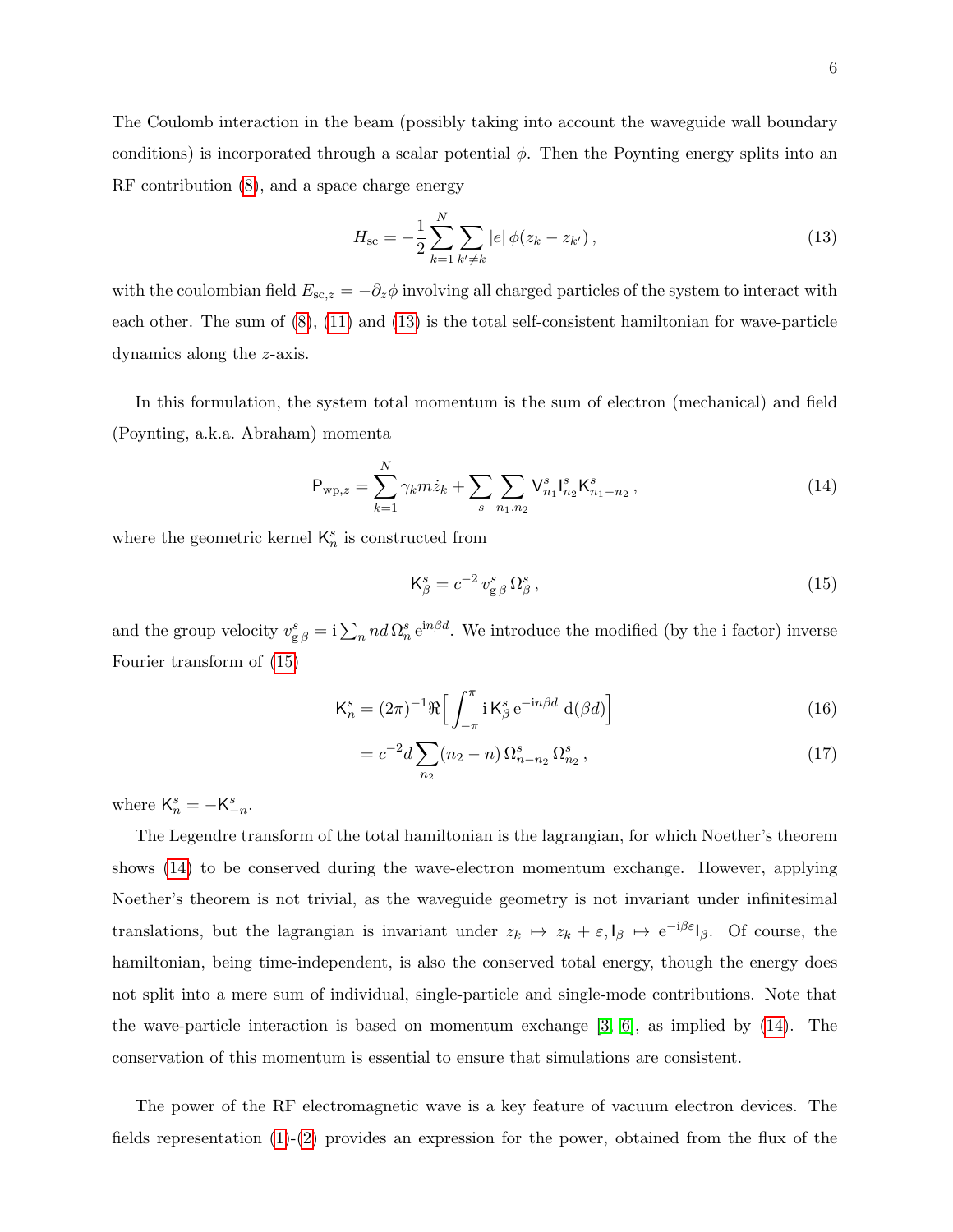The Coulomb interaction in the beam (possibly taking into account the waveguide wall boundary conditions) is incorporated through a scalar potential  $\phi$ . Then the Poynting energy splits into an RF contribution [\(8\)](#page-4-1), and a space charge energy

<span id="page-5-1"></span>
$$
H_{\rm sc} = -\frac{1}{2} \sum_{k=1}^{N} \sum_{k' \neq k} |e| \phi(z_k - z_{k'}), \qquad (13)
$$

with the coulombian field  $E_{sc,z} = -\partial_z \phi$  involving all charged particles of the system to interact with each other. The sum of [\(8\)](#page-4-1), [\(11\)](#page-4-4) and [\(13\)](#page-5-1) is the total self-consistent hamiltonian for wave-particle dynamics along the z-axis.

In this formulation, the system total momentum is the sum of electron (mechanical) and field (Poynting, a.k.a. Abraham) momenta

<span id="page-5-0"></span>
$$
P_{\rm wp,z} = \sum_{k=1}^{N} \gamma_k m \dot{z}_k + \sum_{s} \sum_{n_1, n_2} V_{n_1}^s \mathbf{I}_{n_2}^s \mathbf{K}_{n_1 - n_2}^s,
$$
\n(14)

where the geometric kernel  $\mathsf{K}_n^s$  is constructed from

<span id="page-5-2"></span>
$$
\mathsf{K}^s_{\beta} = c^{-2} v^s_{\mathsf{g}\,\beta} \,\Omega^s_{\beta} \,,\tag{15}
$$

and the group velocity  $v_{g\beta}^s = i\sum_n nd \Omega_n^s e^{in\beta d}$ . We introduce the modified (by the i factor) inverse Fourier transform of [\(15\)](#page-5-2)

$$
\mathsf{K}_{n}^{s} = (2\pi)^{-1} \Re \Big[ \int_{-\pi}^{\pi} \mathrm{i} \, \mathsf{K}_{\beta}^{s} \, \mathrm{e}^{-\mathrm{i} n \beta d} \, \mathrm{d}(\beta d) \Big] \tag{16}
$$

$$
= c^{-2}d\sum_{n_2} (n_2 - n)\,\Omega_{n-n_2}^s\,\Omega_{n_2}^s\,,\tag{17}
$$

where  $\mathsf{K}_n^s = -\mathsf{K}_{-n}^s$ .

The Legendre transform of the total hamiltonian is the lagrangian, for which Noether's theorem shows [\(14\)](#page-5-0) to be conserved during the wave-electron momentum exchange. However, applying Noether's theorem is not trivial, as the waveguide geometry is not invariant under infinitesimal translations, but the lagrangian is invariant under  $z_k \mapsto z_k + \varepsilon, \mathsf{I}_\beta \mapsto e^{-i\beta \varepsilon} \mathsf{I}_\beta$ . Of course, the hamiltonian, being time-independent, is also the conserved total energy, though the energy does not split into a mere sum of individual, single-particle and single-mode contributions. Note that the wave-particle interaction is based on momentum exchange [\[3,](#page-10-1) [6\]](#page-11-2), as implied by [\(14\)](#page-5-0). The conservation of this momentum is essential to ensure that simulations are consistent.

The power of the RF electromagnetic wave is a key feature of vacuum electron devices. The fields representation [\(1\)](#page-2-1)-[\(2\)](#page-2-0) provides an expression for the power, obtained from the flux of the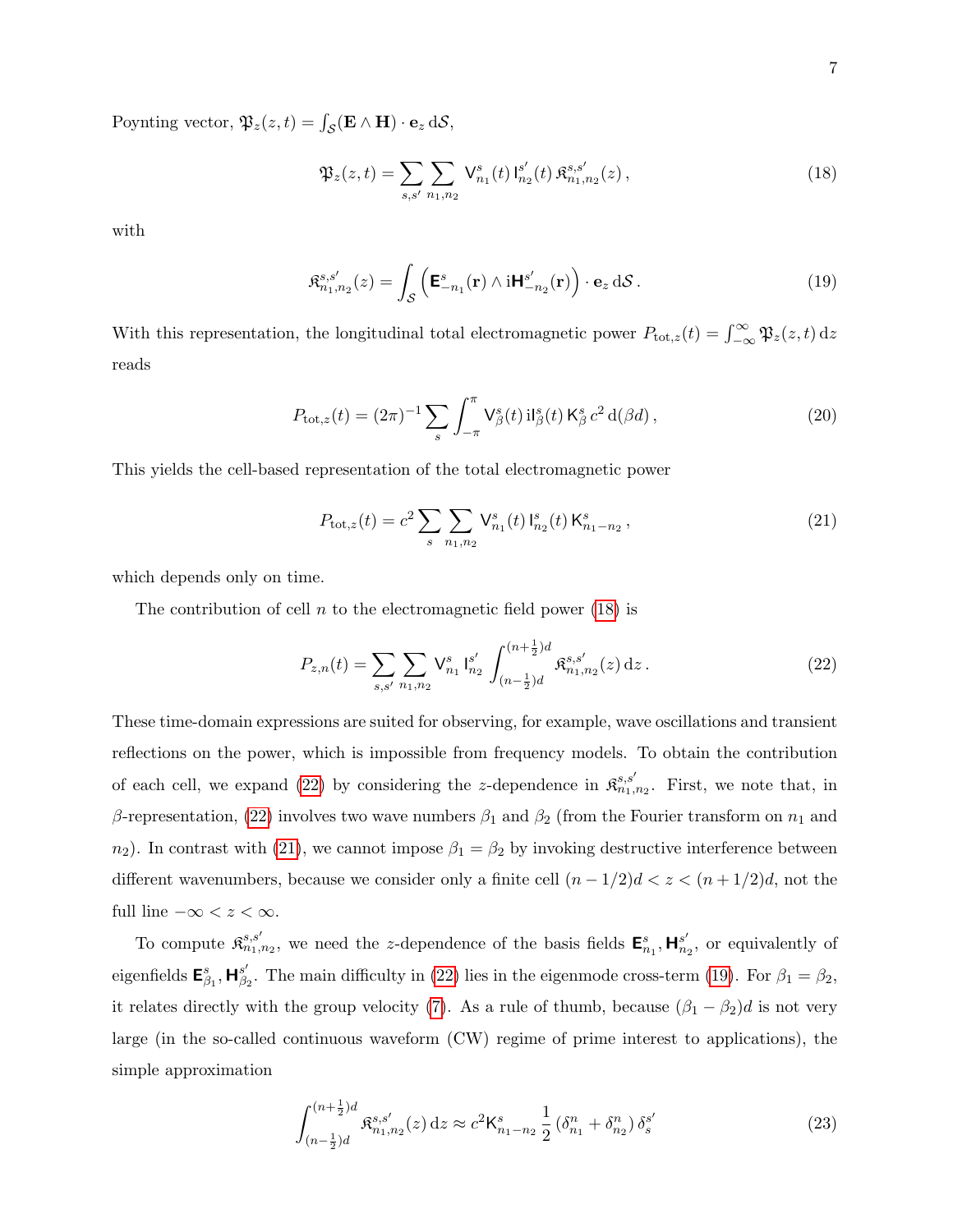Poynting vector,  $\mathfrak{P}_z(z,t) = \int_{\mathcal{S}} (\mathbf{E} \wedge \mathbf{H}) \cdot \mathbf{e}_z d\mathcal{S}$ ,

<span id="page-6-0"></span>
$$
\mathfrak{P}_z(z,t) = \sum_{s,s'} \sum_{n_1,n_2} \mathsf{V}_{n_1}^s(t) \mathsf{I}_{n_2}^{s'}(t) \mathfrak{K}_{n_1,n_2}^{s,s'}(z) ,\tag{18}
$$

with

<span id="page-6-3"></span>
$$
\mathfrak{K}_{n_1,n_2}^{s,s'}(z) = \int_{\mathcal{S}} \left( \mathbf{E}_{-n_1}^s(\mathbf{r}) \wedge \mathrm{i} \mathbf{H}_{-n_2}^{s'}(\mathbf{r}) \right) \cdot \mathbf{e}_z \, \mathrm{d} \mathcal{S} \,. \tag{19}
$$

With this representation, the longitudinal total electromagnetic power  $P_{\text{tot},z}(t) = \int_{-\infty}^{\infty} \mathfrak{P}_z(z,t) dz$ reads

$$
P_{\text{tot},z}(t) = (2\pi)^{-1} \sum_{s} \int_{-\pi}^{\pi} \mathsf{V}^{s}_{\beta}(t) \, \mathrm{il}^{s}_{\beta}(t) \, \mathsf{K}^{s}_{\beta} \, c^{2} \, \mathrm{d}(\beta d) \,, \tag{20}
$$

This yields the cell-based representation of the total electromagnetic power

<span id="page-6-2"></span>
$$
P_{\text{tot},z}(t) = c^2 \sum_{s} \sum_{n_1,n_2} \mathsf{V}_{n_1}^s(t) \, \mathsf{I}_{n_2}^s(t) \, \mathsf{K}_{n_1-n_2}^s \,, \tag{21}
$$

which depends only on time.

The contribution of cell  $n$  to the electromagnetic field power [\(18\)](#page-6-0) is

<span id="page-6-1"></span>
$$
P_{z,n}(t) = \sum_{s,s'} \sum_{n_1,n_2} \mathsf{V}_{n_1}^s \mathsf{I}_{n_2}^{s'} \int_{(n-\frac{1}{2})d}^{(n+\frac{1}{2})d} \mathfrak{K}_{n_1,n_2}^{s,s'}(z) \,\mathrm{d}z \,. \tag{22}
$$

These time-domain expressions are suited for observing, for example, wave oscillations and transient reflections on the power, which is impossible from frequency models. To obtain the contribution of each cell, we expand [\(22\)](#page-6-1) by considering the z-dependence in  $\mathfrak{K}_{n_1,n_2}^{s,s'}$ . First, we note that, in β-representation, [\(22\)](#page-6-1) involves two wave numbers  $β_1$  and  $β_2$  (from the Fourier transform on  $n_1$  and  $n_2$ ). In contrast with [\(21\)](#page-6-2), we cannot impose  $\beta_1 = \beta_2$  by invoking destructive interference between different wavenumbers, because we consider only a finite cell  $(n - 1/2)d < z < (n + 1/2)d$ , not the full line  $-\infty < z < \infty$ .

To compute  $\mathfrak{K}_{n_1,n_2}^{s,s'}$ , we need the z-dependence of the basis fields  $\mathbf{E}_{n_1}^s$ ,  $\mathbf{H}_{n_2}^{s'}$  $s'_{n_2}$ , or equivalently of eigenfields  $\mathsf{E}^s_{\beta_1}, \mathsf{H}^{s'}_{\beta_2}$  $\beta_2^s$ . The main difficulty in [\(22\)](#page-6-1) lies in the eigenmode cross-term [\(19\)](#page-6-3). For  $\beta_1 = \beta_2$ , it relates directly with the group velocity [\(7\)](#page-3-5). As a rule of thumb, because  $(\beta_1 - \beta_2)d$  is not very large (in the so-called continuous waveform (CW) regime of prime interest to applications), the simple approximation

<span id="page-6-4"></span>
$$
\int_{(n-\frac{1}{2})d}^{(n+\frac{1}{2})d} \mathfrak{K}_{n_1,n_2}^{s,s'}(z) dz \approx c^2 \mathsf{K}_{n_1-n_2}^s \frac{1}{2} \left( \delta_{n_1}^n + \delta_{n_2}^n \right) \delta_s^{s'} \tag{23}
$$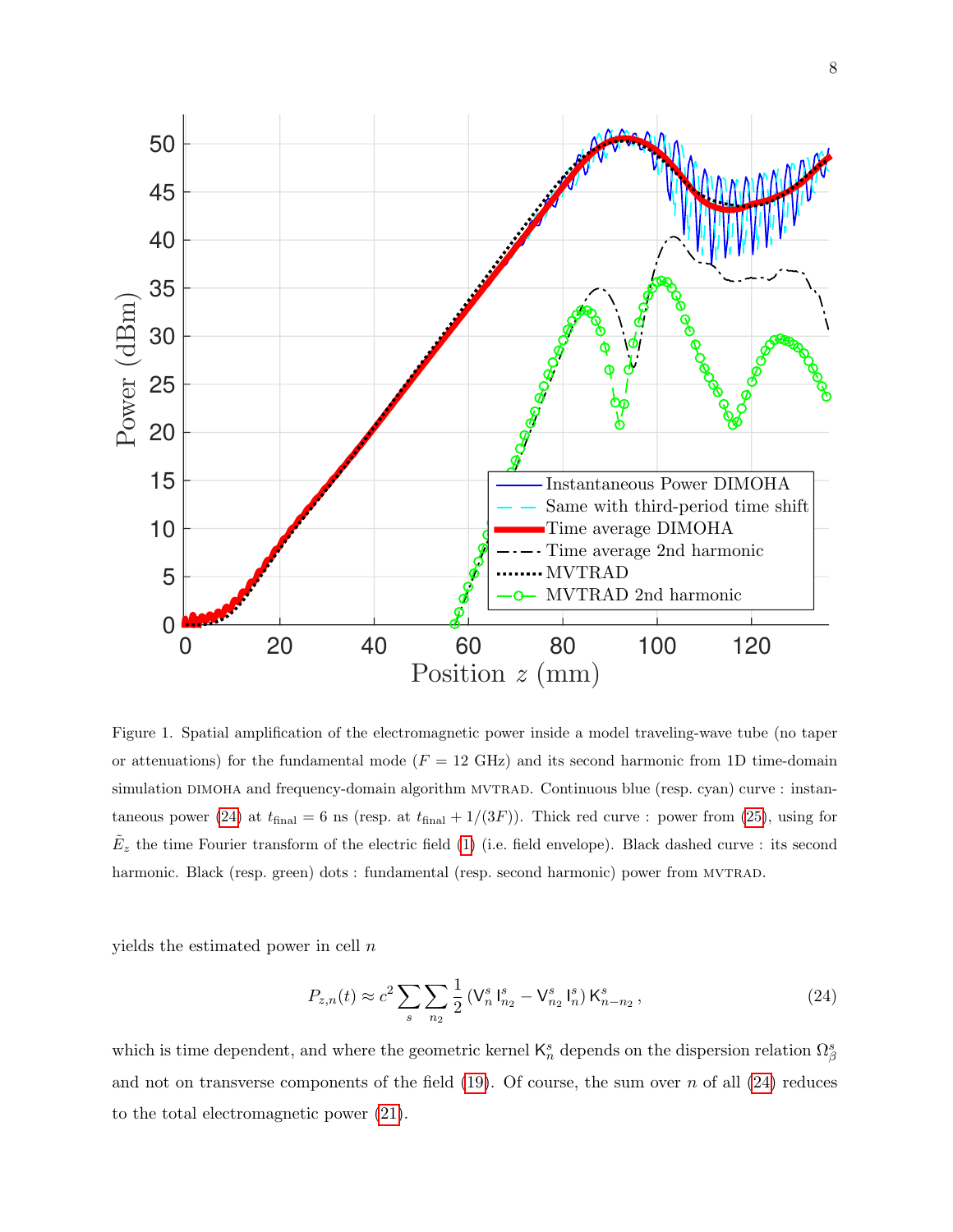

<span id="page-7-1"></span>Figure 1. Spatial amplification of the electromagnetic power inside a model traveling-wave tube (no taper or attenuations) for the fundamental mode  $(F = 12 \text{ GHz})$  and its second harmonic from 1D time-domain simulation DIMOHA and frequency-domain algorithm MVTRAD. Continuous blue (resp. cyan) curve : instan-taneous power [\(24\)](#page-7-0) at  $t_{\text{final}} = 6$  ns (resp. at  $t_{\text{final}} + 1/(3F)$ ). Thick red curve : power from [\(25\)](#page-8-0), using for  $\tilde{E}_z$  the time Fourier transform of the electric field [\(1\)](#page-2-1) (i.e. field envelope). Black dashed curve : its second harmonic. Black (resp. green) dots : fundamental (resp. second harmonic) power from MVTRAD.

yields the estimated power in cell  $n$ 

<span id="page-7-0"></span>
$$
P_{z,n}(t) \approx c^2 \sum_{s} \sum_{n_2} \frac{1}{2} \left( V_n^s \, \mathbf{I}_{n_2}^s - V_{n_2}^s \, \mathbf{I}_n^s \right) \mathbf{K}_{n-n_2}^s \,, \tag{24}
$$

which is time dependent, and where the geometric kernel  $\mathsf{K}_n^s$  depends on the dispersion relation  $\Omega_\beta^s$ and not on transverse components of the field  $(19)$ . Of course, the sum over n of all  $(24)$  reduces to the total electromagnetic power [\(21\)](#page-6-2).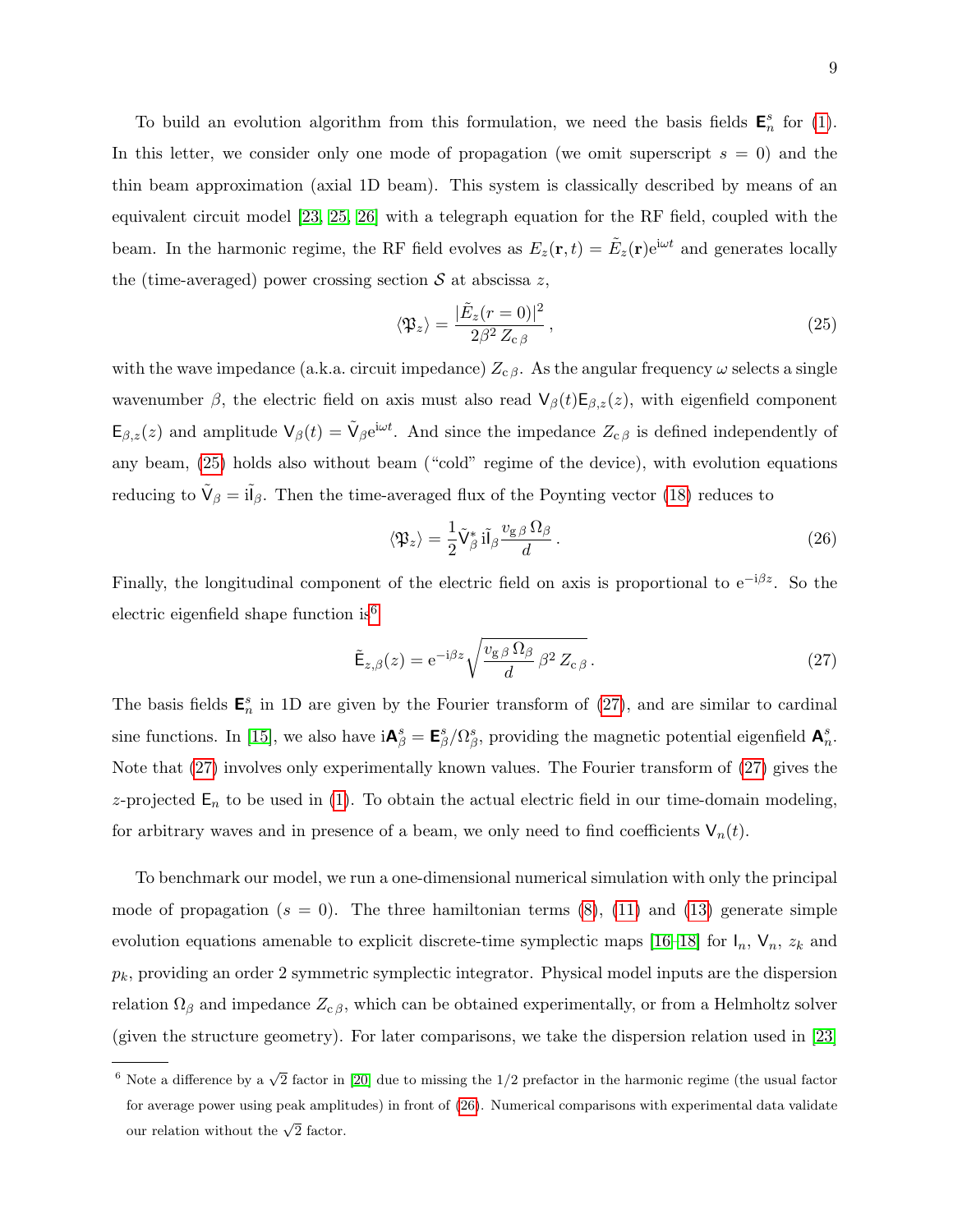To build an evolution algorithm from this formulation, we need the basis fields  $\mathbf{E}_n^s$  for [\(1\)](#page-2-1). In this letter, we consider only one mode of propagation (we omit superscript  $s = 0$ ) and the thin beam approximation (axial 1D beam). This system is classically described by means of an equivalent circuit model [\[23,](#page-11-18) [25,](#page-11-20) [26\]](#page-11-21) with a telegraph equation for the RF field, coupled with the beam. In the harmonic regime, the RF field evolves as  $E_z(\mathbf{r}, t) = \tilde{E}_z(\mathbf{r})e^{i\omega t}$  and generates locally the (time-averaged) power crossing section  $S$  at abscissa z,

<span id="page-8-0"></span>
$$
\langle \mathfrak{P}_z \rangle = \frac{|\tilde{E}_z(r=0)|^2}{2\beta^2 Z_{\rm c\,\beta}},\tag{25}
$$

with the wave impedance (a.k.a. circuit impedance)  $Z_{c,\beta}$ . As the angular frequency  $\omega$  selects a single wavenumber  $\beta$ , the electric field on axis must also read  $\mathsf{V}_{\beta}(t)\mathsf{E}_{\beta,z}(z)$ , with eigenfield component  $\mathsf{E}_{\beta,z}(z)$  and amplitude  $\mathsf{V}_{\beta}(t) = \tilde{\mathsf{V}}_{\beta}e^{\mathrm{i}\omega t}$ . And since the impedance  $Z_{\alpha\beta}$  is defined independently of any beam, [\(25\)](#page-8-0) holds also without beam ("cold" regime of the device), with evolution equations reducing to  $\tilde{V}_{\beta} = i\tilde{l}_{\beta}$ . Then the time-averaged flux of the Poynting vector [\(18\)](#page-6-0) reduces to

<span id="page-8-3"></span>
$$
\langle \mathfrak{P}_z \rangle = \frac{1}{2} \tilde{\mathsf{V}}^*_{\beta} \, \mathbf{i} \tilde{\mathsf{I}}_{\beta} \frac{v_{\mathsf{g}} \, \beta \, \Omega_{\beta}}{d} \,. \tag{26}
$$

Finally, the longitudinal component of the electric field on axis is proportional to  $e^{-i\beta z}$ . So the electric eigenfield shape function is  $6$ 

<span id="page-8-2"></span>
$$
\tilde{\mathsf{E}}_{z,\beta}(z) = \mathrm{e}^{-\mathrm{i}\beta z} \sqrt{\frac{v_{\mathrm{g}\beta}\,\Omega_{\beta}}{d}\,\beta^2\,Z_{\mathrm{c}\,\beta}}\,. \tag{27}
$$

The basis fields  $\mathbf{E}_n^s$  in 1D are given by the Fourier transform of [\(27\)](#page-8-2), and are similar to cardinal sine functions. In [\[15\]](#page-11-10), we also have  $i{\bf A}_{\beta}^s = {\bf E}_{\beta}^s/\Omega_{\beta}^s$ , providing the magnetic potential eigenfield  ${\bf A}_{n}^s$ . Note that [\(27\)](#page-8-2) involves only experimentally known values. The Fourier transform of [\(27\)](#page-8-2) gives the z-projected  $E_n$  to be used in [\(1\)](#page-2-1). To obtain the actual electric field in our time-domain modeling, for arbitrary waves and in presence of a beam, we only need to find coefficients  $V_n(t)$ .

To benchmark our model, we run a one-dimensional numerical simulation with only the principal mode of propagation  $(s = 0)$ . The three hamiltonian terms  $(8)$ ,  $(11)$  and  $(13)$  generate simple evolution equations amenable to explicit discrete-time symplectic maps [\[16–](#page-11-11)[18\]](#page-11-13) for  $I_n$ ,  $V_n$ ,  $z_k$  and  $p_k$ , providing an order 2 symmetric symplectic integrator. Physical model inputs are the dispersion relation  $\Omega_{\beta}$  and impedance  $Z_{\alpha\beta}$ , which can be obtained experimentally, or from a Helmholtz solver (given the structure geometry). For later comparisons, we take the dispersion relation used in [\[23\]](#page-11-18)

<span id="page-8-1"></span> $\overline{\text{6}^6}$  Note a difference by a  $\sqrt{2}$  factor in [\[20\]](#page-11-15) due to missing the 1/2 prefactor in the harmonic regime (the usual factor for average power using peak amplitudes) in front of [\(26\)](#page-8-3). Numerical comparisons with experimental data validate our relation without the  $\sqrt{2}$  factor.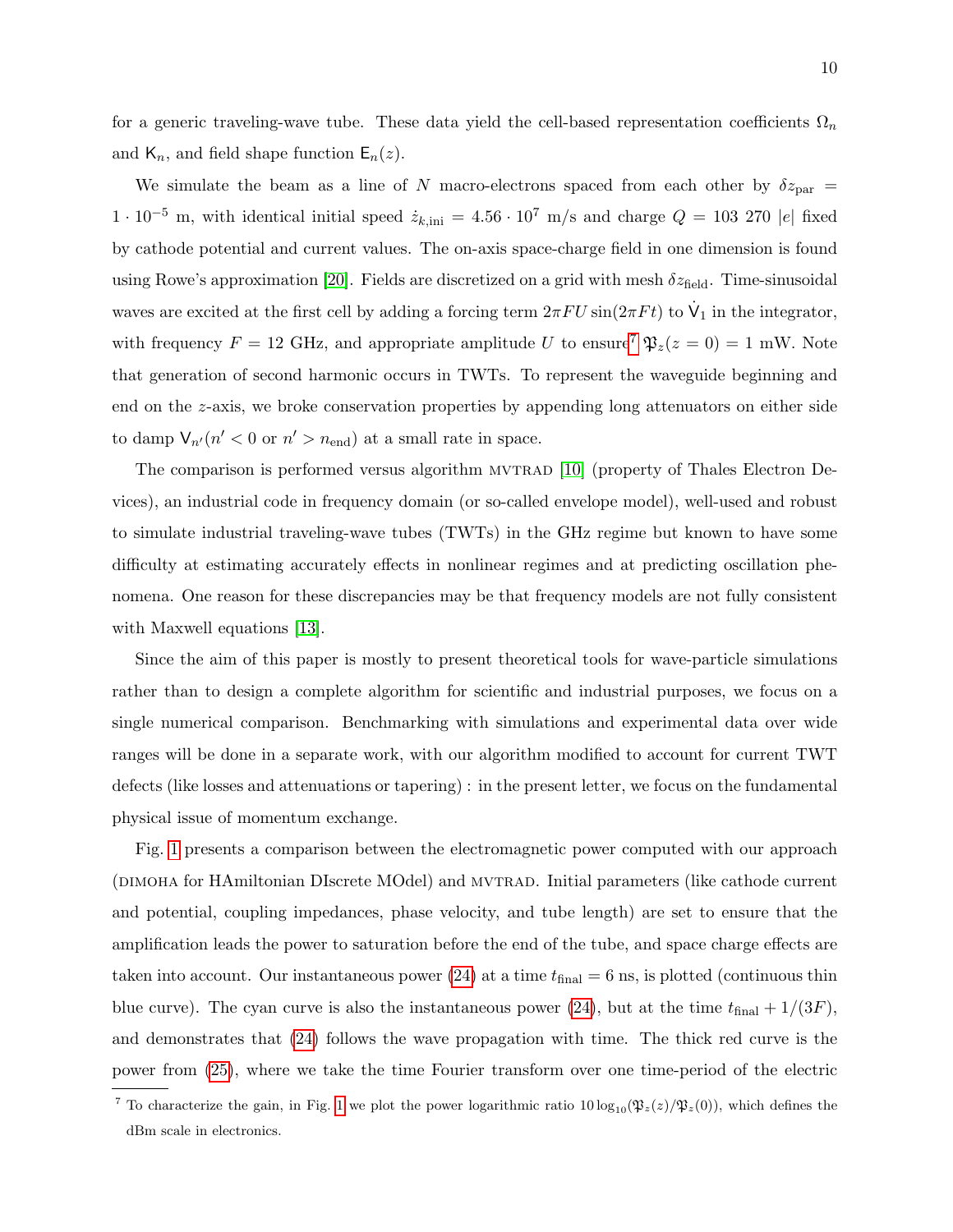for a generic traveling-wave tube. These data yield the cell-based representation coefficients  $\Omega_n$ and  $\mathsf{K}_n$ , and field shape function  $\mathsf{E}_n(z)$ .

We simulate the beam as a line of N macro-electrons spaced from each other by  $\delta z_{\text{par}} =$  $1 \cdot 10^{-5}$  m, with identical initial speed  $\dot{z}_{k,\text{ini}} = 4.56 \cdot 10^7$  m/s and charge  $Q = 103$  270 |e| fixed by cathode potential and current values. The on-axis space-charge field in one dimension is found using Rowe's approximation [\[20\]](#page-11-15). Fields are discretized on a grid with mesh  $\delta z_{\text{field}}$ . Time-sinusoidal waves are excited at the first cell by adding a forcing term  $2\pi FU \sin(2\pi F t)$  to  $\dot{V}_1$  in the integrator, with frequency  $F = 12$  GHz, and appropriate amplitude U to ensure<sup>[7](#page-9-0)</sup>  $\mathfrak{P}_z(z = 0) = 1$  mW. Note that generation of second harmonic occurs in TWTs. To represent the waveguide beginning and end on the z-axis, we broke conservation properties by appending long attenuators on either side to damp  $V_{n'}(n' < 0$  or  $n' > n_{end}$ ) at a small rate in space.

The comparison is performed versus algorithm MVTRAD [\[10\]](#page-11-6) (property of Thales Electron Devices), an industrial code in frequency domain (or so-called envelope model), well-used and robust to simulate industrial traveling-wave tubes (TWTs) in the GHz regime but known to have some difficulty at estimating accurately effects in nonlinear regimes and at predicting oscillation phenomena. One reason for these discrepancies may be that frequency models are not fully consistent with Maxwell equations [\[13\]](#page-11-8).

Since the aim of this paper is mostly to present theoretical tools for wave-particle simulations rather than to design a complete algorithm for scientific and industrial purposes, we focus on a single numerical comparison. Benchmarking with simulations and experimental data over wide ranges will be done in a separate work, with our algorithm modified to account for current TWT defects (like losses and attenuations or tapering) : in the present letter, we focus on the fundamental physical issue of momentum exchange.

Fig. [1](#page-7-1) presents a comparison between the electromagnetic power computed with our approach (DIMOHA for HAmiltonian DIscrete MOdel) and MVTRAD. Initial parameters (like cathode current and potential, coupling impedances, phase velocity, and tube length) are set to ensure that the amplification leads the power to saturation before the end of the tube, and space charge effects are taken into account. Our instantaneous power [\(24\)](#page-7-0) at a time  $t_{\text{final}} = 6$  ns, is plotted (continuous thin blue curve). The cyan curve is also the instantaneous power [\(24\)](#page-7-0), but at the time  $t_{\text{final}} + 1/(3F)$ , and demonstrates that [\(24\)](#page-7-0) follows the wave propagation with time. The thick red curve is the power from [\(25\)](#page-8-0), where we take the time Fourier transform over one time-period of the electric

<span id="page-9-0"></span><sup>&</sup>lt;sup>7</sup> To characterize the gain, in Fig. [1](#page-7-1) we plot the power logarithmic ratio  $10 \log_{10}(\mathfrak{P}_z(z)/\mathfrak{P}_z(0))$ , which defines the dBm scale in electronics.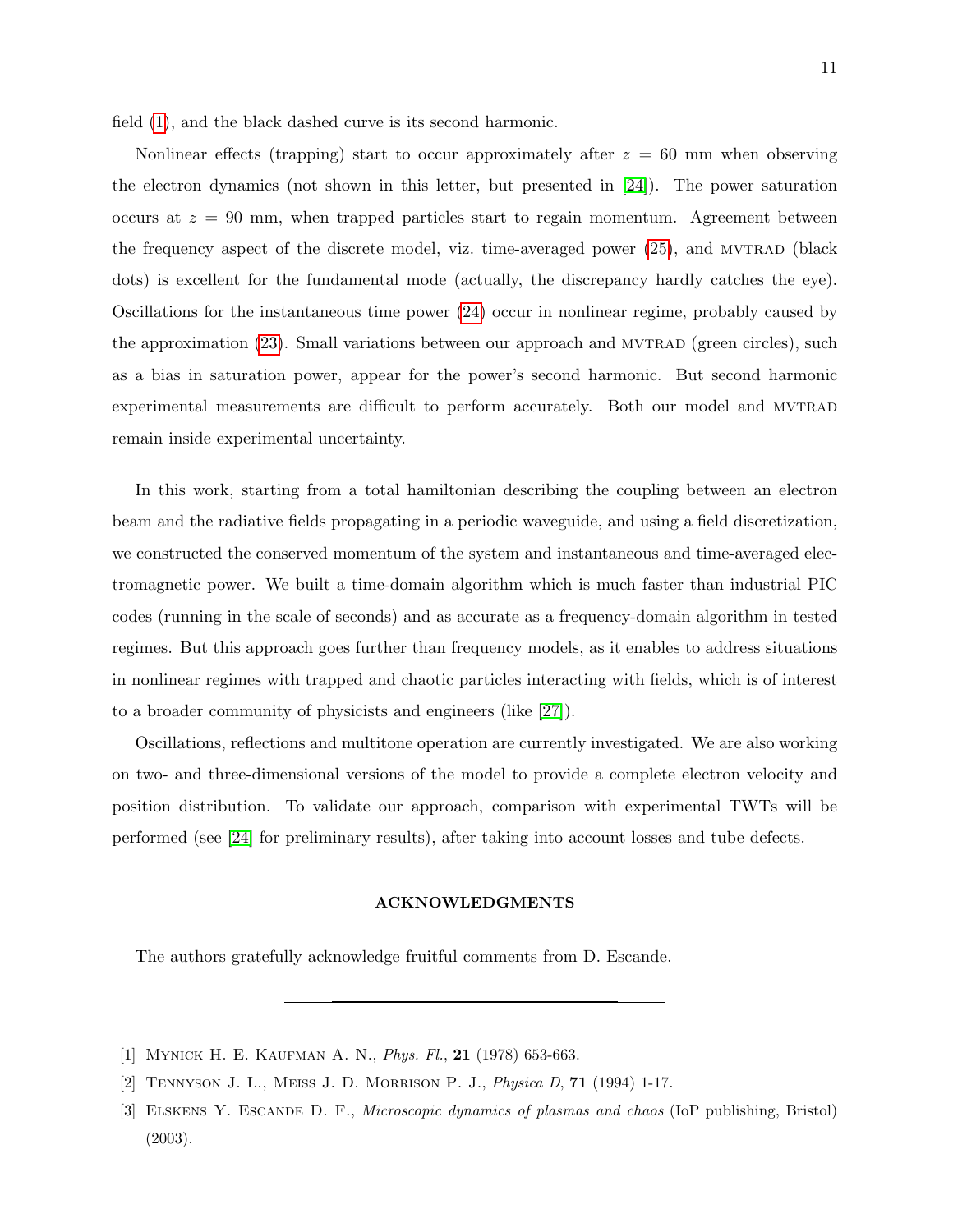field [\(1\)](#page-2-1), and the black dashed curve is its second harmonic.

Nonlinear effects (trapping) start to occur approximately after  $z = 60$  mm when observing the electron dynamics (not shown in this letter, but presented in [\[24\]](#page-11-19)). The power saturation occurs at  $z = 90$  mm, when trapped particles start to regain momentum. Agreement between the frequency aspect of the discrete model, viz. time-averaged power [\(25\)](#page-8-0), and MVTRAD (black dots) is excellent for the fundamental mode (actually, the discrepancy hardly catches the eye). Oscillations for the instantaneous time power [\(24\)](#page-7-0) occur in nonlinear regime, probably caused by the approximation  $(23)$ . Small variations between our approach and MVTRAD (green circles), such as a bias in saturation power, appear for the power's second harmonic. But second harmonic experimental measurements are difficult to perform accurately. Both our model and MVTRAD remain inside experimental uncertainty.

In this work, starting from a total hamiltonian describing the coupling between an electron beam and the radiative fields propagating in a periodic waveguide, and using a field discretization, we constructed the conserved momentum of the system and instantaneous and time-averaged electromagnetic power. We built a time-domain algorithm which is much faster than industrial PIC codes (running in the scale of seconds) and as accurate as a frequency-domain algorithm in tested regimes. But this approach goes further than frequency models, as it enables to address situations in nonlinear regimes with trapped and chaotic particles interacting with fields, which is of interest to a broader community of physicists and engineers (like [\[27\]](#page-11-22)).

Oscillations, reflections and multitone operation are currently investigated. We are also working on two- and three-dimensional versions of the model to provide a complete electron velocity and position distribution. To validate our approach, comparison with experimental TWTs will be performed (see [\[24\]](#page-11-19) for preliminary results), after taking into account losses and tube defects.

## ACKNOWLEDGMENTS

The authors gratefully acknowledge fruitful comments from D. Escande.

<span id="page-10-0"></span><sup>[1]</sup> MYNICK H. E. KAUFMAN A. N., *Phys. Fl.*, **21** (1978) 653-663.

<span id="page-10-1"></span><sup>[2]</sup> Tennyson J. L., Meiss J. D. Morrison P. J., Physica D, 71 (1994) 1-17.

<sup>[3]</sup> Elskens Y. Escande D. F., Microscopic dynamics of plasmas and chaos (IoP publishing, Bristol) (2003).